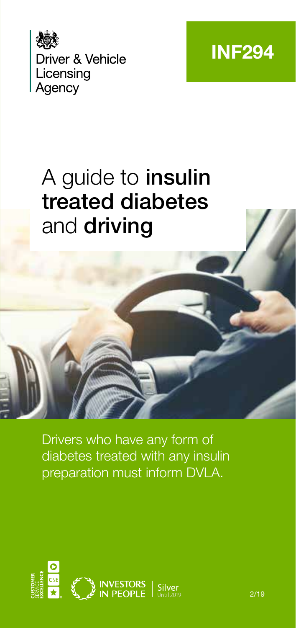



# A guide to **insulin** treated diabetes and driving

Drivers who have any form of diabetes treated with any insulin preparation must inform DVLA.

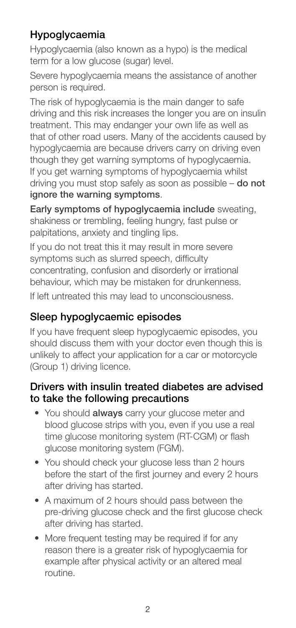# Hypoglycaemia

Hypoglycaemia (also known as a hypo) is the medical term for a low glucose (sugar) level.

Severe hypoglycaemia means the assistance of another person is required.

The risk of hypoglycaemia is the main danger to safe driving and this risk increases the longer you are on insulin treatment. This may endanger your own life as well as that of other road users. Many of the accidents caused by hypoglycaemia are because drivers carry on driving even though they get warning symptoms of hypoglycaemia. If you get warning symptoms of hypoglycaemia whilst driving you must stop safely as soon as possible – do not ignore the warning symptoms.

Early symptoms of hypoglycaemia include sweating, shakiness or trembling, feeling hungry, fast pulse or palpitations, anxiety and tingling lips.

If you do not treat this it may result in more severe symptoms such as slurred speech, difficulty concentrating, confusion and disorderly or irrational behaviour, which may be mistaken for drunkenness.

If left untreated this may lead to unconsciousness.

# Sleep hypoglycaemic episodes

If you have frequent sleep hypoglycaemic episodes, you should discuss them with your doctor even though this is unlikely to affect your application for a car or motorcycle (Group 1) driving licence.

#### Drivers with insulin treated diabetes are advised to take the following precautions

- You should always carry your glucose meter and blood glucose strips with you, even if you use a real time glucose monitoring system (RT-CGM) or flash glucose monitoring system (FGM).
- You should check your glucose less than 2 hours before the start of the first journey and every 2 hours after driving has started.
- A maximum of 2 hours should pass between the pre-driving glucose check and the first glucose check after driving has started.
- More frequent testing may be required if for any reason there is a greater risk of hypoglycaemia for example after physical activity or an altered meal routine.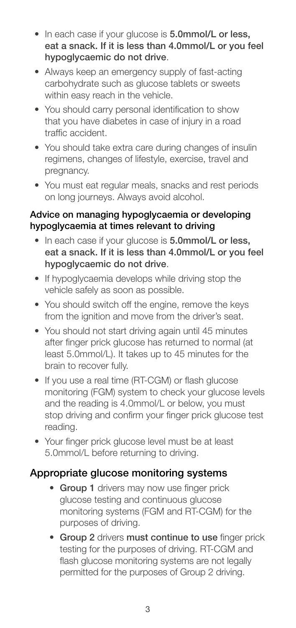- In each case if your glucose is 5.0mmol/L or less. eat a snack. If it is less than 4.0mmol/L or you feel hypoglycaemic do not drive.
- Always keep an emergency supply of fast-acting carbohydrate such as glucose tablets or sweets within easy reach in the vehicle.
- You should carry personal identification to show that you have diabetes in case of injury in a road traffic accident.
- You should take extra care during changes of insulin regimens, changes of lifestyle, exercise, travel and pregnancy.
- You must eat regular meals, snacks and rest periods on long journeys. Always avoid alcohol.

#### Advice on managing hypoglycaemia or developing hypoglycaemia at times relevant to driving

- In each case if your glucose is 5.0mmol/L or less, eat a snack. If it is less than 4.0mmol/L or you feel hypoglycaemic do not drive.
- If hypoglycaemia develops while driving stop the vehicle safely as soon as possible.
- You should switch off the engine, remove the keys from the ignition and move from the driver's seat.
- You should not start driving again until 45 minutes after finger prick glucose has returned to normal (at least 5.0mmol/L). It takes up to 45 minutes for the brain to recover fully.
- If you use a real time (RT-CGM) or flash glucose monitoring (FGM) system to check your glucose levels and the reading is 4.0mmol/L or below, you must stop driving and confirm your finger prick glucose test reading.
- Your finger prick glucose level must be at least 5.0mmol/L before returning to driving.

## Appropriate glucose monitoring systems

- Group 1 drivers may now use finger prick glucose testing and continuous glucose monitoring systems (FGM and RT-CGM) for the purposes of driving.
- Group 2 drivers must continue to use finger prick testing for the purposes of driving. RT-CGM and flash glucose monitoring systems are not legally permitted for the purposes of Group 2 driving.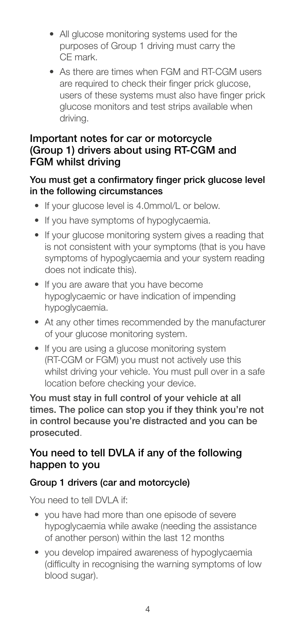- All glucose monitoring systems used for the purposes of Group 1 driving must carry the CE mark.
- As there are times when FGM and RT-CGM users are required to check their finger prick glucose, users of these systems must also have finger prick glucose monitors and test strips available when driving.

#### Important notes for car or motorcycle (Group 1) drivers about using RT-CGM and FGM whilst driving

#### You must get a confirmatory finger prick glucose level in the following circumstances

- If your glucose level is 4.0mmol/L or below.
- If you have symptoms of hypoglycaemia.
- If your glucose monitoring system gives a reading that is not consistent with your symptoms (that is you have symptoms of hypoglycaemia and your system reading does not indicate this).
- If you are aware that you have become hypoglycaemic or have indication of impending hypoglycaemia.
- At any other times recommended by the manufacturer of your glucose monitoring system.
- If you are using a glucose monitoring system (RT-CGM or FGM) you must not actively use this whilst driving your vehicle. You must pull over in a safe location before checking your device.

You must stay in full control of your vehicle at all times. The police can stop you if they think you're not in control because you're distracted and you can be prosecuted.

## You need to tell DVLA if any of the following happen to you

#### Group 1 drivers (car and motorcycle)

You need to tell DVLA if

- you have had more than one episode of severe hypoglycaemia while awake (needing the assistance of another person) within the last 12 months
- you develop impaired awareness of hypoglycaemia (difficulty in recognising the warning symptoms of low blood sugar).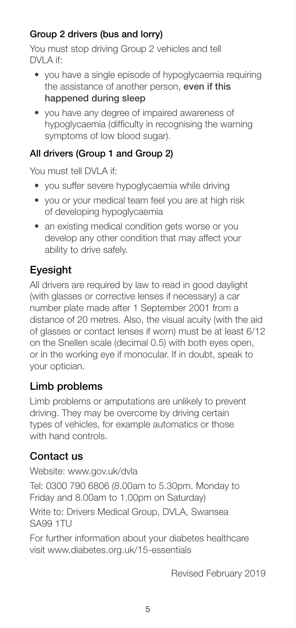## Group 2 drivers (bus and lorry)

You must stop driving Group 2 vehicles and tell DVI A if:

- you have a single episode of hypoglycaemia requiring the assistance of another person, even if this happened during sleep
- you have any degree of impaired awareness of hypoglycaemia (difficulty in recognising the warning symptoms of low blood sugar).

### All drivers (Group 1 and Group 2)

You must tell DVLA if

- you suffer severe hypoglycaemia while driving
- you or your medical team feel you are at high risk of developing hypoglycaemia
- an existing medical condition gets worse or you develop any other condition that may affect your ability to drive safely.

# Eyesight

All drivers are required by law to read in good daylight (with glasses or corrective lenses if necessary) a car number plate made after 1 September 2001 from a distance of 20 metres. Also, the visual acuity (with the aid of glasses or contact lenses if worn) must be at least 6/12 on the Snellen scale (decimal 0.5) with both eyes open, or in the working eye if monocular. If in doubt, speak to your optician.

## Limb problems

Limb problems or amputations are unlikely to prevent driving. They may be overcome by driving certain types of vehicles, for example automatics or those with hand controls.

## Contact us

Website: www.gov.uk/dvla

Tel: 0300 790 6806 (8.00am to 5.30pm. Monday to Friday and 8.00am to 1.00pm on Saturday)

Write to: Drivers Medical Group, DVLA, Swansea SA99 1TU

For further information about your diabetes healthcare visit www.diabetes.org.uk/15-essentials

Revised February 2019